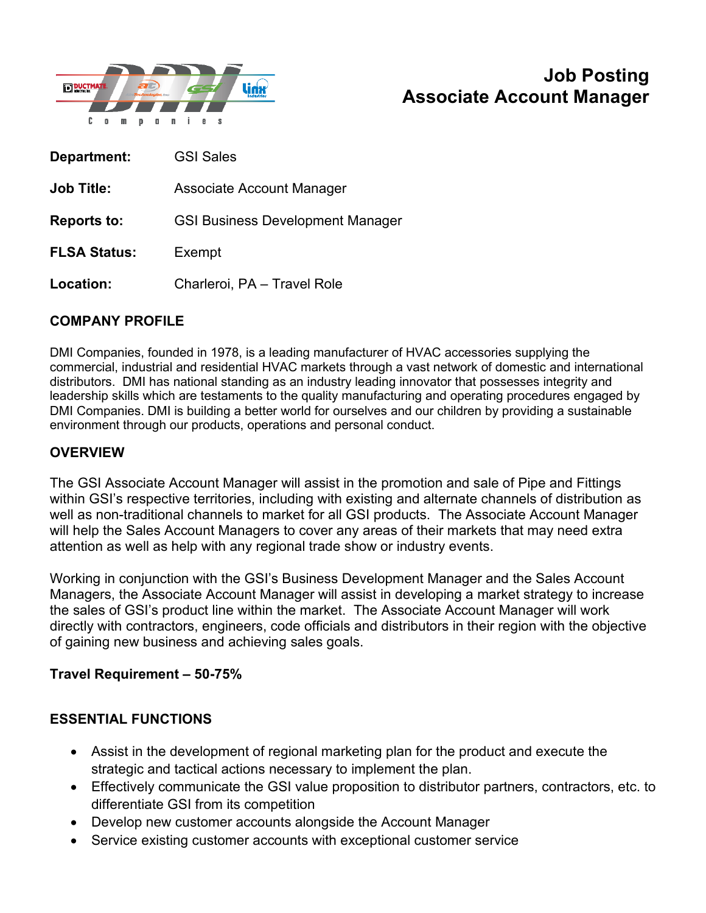

# **Job Posting Associate Account Manager**

| Department:         | <b>GSI Sales</b>                        |
|---------------------|-----------------------------------------|
| <b>Job Title:</b>   | Associate Account Manager               |
| <b>Reports to:</b>  | <b>GSI Business Development Manager</b> |
| <b>FLSA Status:</b> | Exempt                                  |
| Location:           | Charleroi, PA - Travel Role             |

## **COMPANY PROFILE**

DMI Companies, founded in 1978, is a leading manufacturer of HVAC accessories supplying the commercial, industrial and residential HVAC markets through a vast network of domestic and international distributors. DMI has national standing as an industry leading innovator that possesses integrity and leadership skills which are testaments to the quality manufacturing and operating procedures engaged by DMI Companies. DMI is building a better world for ourselves and our children by providing a sustainable environment through our products, operations and personal conduct.

### **OVERVIEW**

The GSI Associate Account Manager will assist in the promotion and sale of Pipe and Fittings within GSI's respective territories, including with existing and alternate channels of distribution as well as non-traditional channels to market for all GSI products. The Associate Account Manager will help the Sales Account Managers to cover any areas of their markets that may need extra attention as well as help with any regional trade show or industry events.

Working in conjunction with the GSI's Business Development Manager and the Sales Account Managers, the Associate Account Manager will assist in developing a market strategy to increase the sales of GSI's product line within the market. The Associate Account Manager will work directly with contractors, engineers, code officials and distributors in their region with the objective of gaining new business and achieving sales goals.

#### **Travel Requirement – 50-75%**

## **ESSENTIAL FUNCTIONS**

- Assist in the development of regional marketing plan for the product and execute the strategic and tactical actions necessary to implement the plan.
- Effectively communicate the GSI value proposition to distributor partners, contractors, etc. to differentiate GSI from its competition
- Develop new customer accounts alongside the Account Manager
- Service existing customer accounts with exceptional customer service